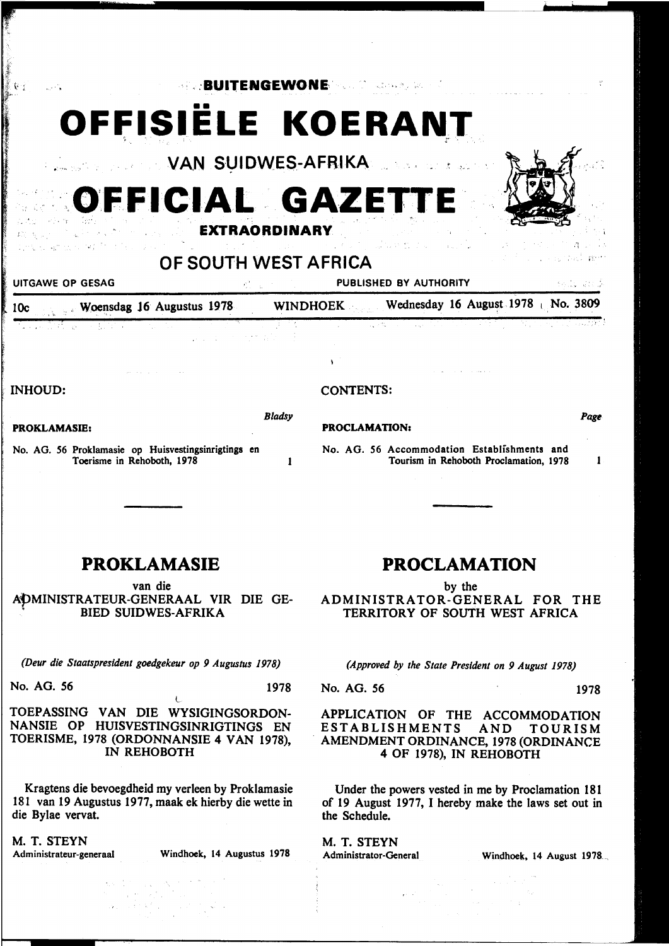· . **:BUITENGEWONE** . ··

## •• OFFISIELE KOERANT

•' .,., **VA.N 5-l)IDWES-AFRIKA** '

# **FFICIAL GAZET EXTRAORDINARY**



| しんしゅうと 横っぽい まいあん こうしょう はんしょう しょうしょう こうしょう いっしょう アントランス こうしょう アイアントランド アイ・プラン オーバー・オーバー はっこう アイ・プラント<br>OF SOUTH WEST AFRICA |  |                                                     |  | アール・コンピューター かいかんに 食材                              |  |
|-----------------------------------------------------------------------------------------------------------------------------|--|-----------------------------------------------------|--|---------------------------------------------------|--|
| UITGAWE OP GESAG                                                                                                            |  | <b>EXAMPLE SERVICE START PUBLISHED BY AUTHORITY</b> |  | i telu veci                                       |  |
| 10c Woensdag 16 Augustus 1978                                                                                               |  |                                                     |  | WINDHOEK Wednesday 16 August 1978 $\sim$ No. 3809 |  |

*Bladsy* 

1

机合金

INHOUD:

PROKLAMASIE:

No. AG. 56 Proklamasie op Huisvestingsinrigtings en Toerisme in Rehoboth, 1978

#### CONTENTS:

PROCLAMATION:

No. AG. 56 Accommodation Establishments and Tourism in Rehoboth Proclamation, 1978

### **PROKLAMASIE**

van die

A'PMINISTRATEUR-GENERAAL VIR DIE GE- . BlED SUIDWES-AFRIKA

*(Deur die Staatspresident goedgekeur op 9 Augustus 1978)* 

No. AG. 56 1978

l. TOEPASSING VAN DIE WYSIGINGSORDON-NANSIE OP HUISVESTINGSINRIGTINGS EN TOERISME, 1978 (ORDONNANSIE 4 VAN 1978), IN REHOBOTH

Kragtens die bevoegdheid my verleen by Proklamasie 181 van 19 Augustus 1977, maak ek hierby die wette in die Bylae vervat.

M. T. STEYN

Administrateur-generaal Windhoek, 14 Augustus 1978

### **PROCLAMATION**

by the

ADMINISTRATOR-GENERAL FOR THE TERRITORY OF SOUTH WEST AFRICA

*(Approved by the State President on 9 August 1978)* 

No. AG. 56 1978

*Pap* 

1

#### APPLICATION OF THE ACCOMMODATION ESTABLISHMENTS AND TOURISM AMENDMENT ORDINANCE, 1978 (ORDINANCE 4 OF 1978), IN REHOBOTH

Under the powers vested in me by Proclamation 181 of 19 August 1977, I hereby make the laws set out in the Schedule.

M. T. STEYN<br>Administrator-General

Windhoek, 14 August 1978